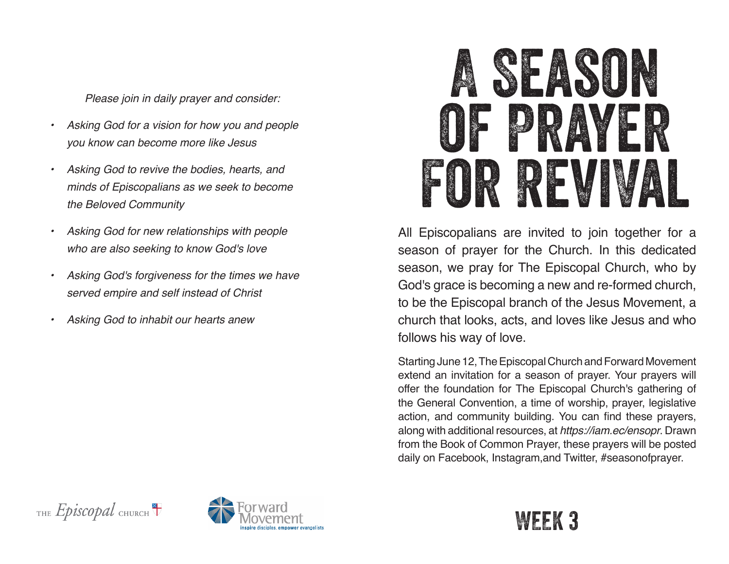*Please join in daily prayer and consider:*

- *• Asking God for a vision for how you and people you know can become more like Jesus*
- *• Asking God to revive the bodies, hearts, and minds of Episcopalians as we seek to become the Beloved Community*
- *• Asking God for new relationships with people who are also seeking to know God's love*
- *• Asking God's forgiveness for the times we have served empire and self instead of Christ*
- *• Asking God to inhabit our hearts anew*



All Episcopalians are invited to join together for a season of prayer for the Church. In this dedicated season, we pray for The Episcopal Church, who by God's grace is becoming a new and re-formed church, to be the Episcopal branch of the Jesus Movement, a church that looks, acts, and loves like Jesus and who follows his way of love.

Starting June 12, The Episcopal Church and Forward Movement extend an invitation for a season of prayer. Your prayers will offer the foundation for The Episcopal Church's gathering of the General Convention, a time of worship, prayer, legislative action, and community building. You can find these prayers, along with additional resources, at *https://iam.ec/ensopr*. Drawn from the Book of Common Prayer, these prayers will be posted daily on Facebook, Instagram,and Twitter, #seasonofprayer.